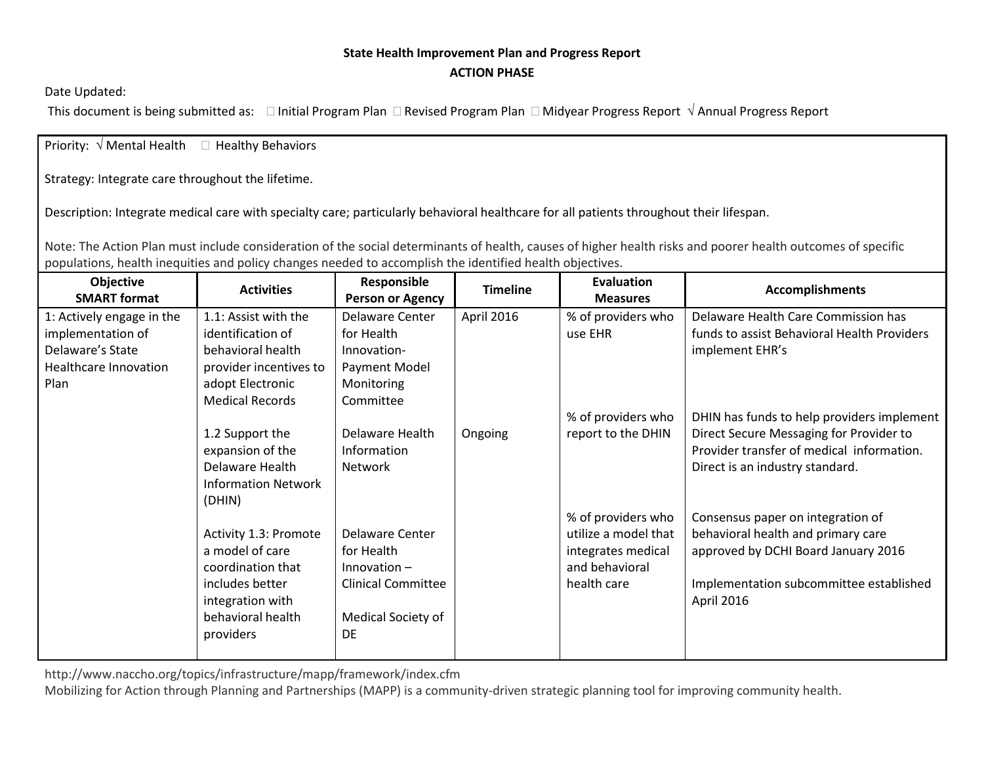## **State Health Improvement Plan and Progress Report ACTION PHASE**

Date Updated:

This document is being submitted as:  $\Box$  Initial Program Plan  $\Box$  Revised Program Plan  $\Box$  Midyear Progress Report  $\sqrt{ }$  Annual Progress Report

Priority:  $\sqrt{ }$  Mental Health  $\Box$  Healthy Behaviors

Strategy: Integrate care throughout the lifetime.

Description: Integrate medical care with specialty care; particularly behavioral healthcare for all patients throughout their lifespan.

Note: The Action Plan must include consideration of the social determinants of health, causes of higher health risks and poorer health outcomes of specific populations, health inequities and policy changes needed to accomplish the identified health objectives.

| <b>Objective</b><br><b>SMART format</b> | <b>Activities</b>          | Responsible<br><b>Person or Agency</b> | <b>Timeline</b> | <b>Evaluation</b><br><b>Measures</b> | <b>Accomplishments</b>                      |
|-----------------------------------------|----------------------------|----------------------------------------|-----------------|--------------------------------------|---------------------------------------------|
| 1: Actively engage in the               | 1.1: Assist with the       | Delaware Center                        | April 2016      | % of providers who                   | Delaware Health Care Commission has         |
| implementation of                       | identification of          | for Health                             |                 | use EHR                              | funds to assist Behavioral Health Providers |
| Delaware's State                        | behavioral health          | Innovation-                            |                 |                                      | implement EHR's                             |
| Healthcare Innovation                   | provider incentives to     | Payment Model                          |                 |                                      |                                             |
| Plan                                    | adopt Electronic           | Monitoring                             |                 |                                      |                                             |
|                                         | <b>Medical Records</b>     | Committee                              |                 |                                      |                                             |
|                                         |                            |                                        |                 | % of providers who                   | DHIN has funds to help providers implement  |
|                                         | 1.2 Support the            | Delaware Health                        | Ongoing         | report to the DHIN                   | Direct Secure Messaging for Provider to     |
|                                         | expansion of the           | Information                            |                 |                                      | Provider transfer of medical information.   |
|                                         | Delaware Health            | Network                                |                 |                                      | Direct is an industry standard.             |
|                                         | <b>Information Network</b> |                                        |                 |                                      |                                             |
|                                         | (DHIN)                     |                                        |                 |                                      |                                             |
|                                         |                            |                                        |                 | % of providers who                   | Consensus paper on integration of           |
|                                         | Activity 1.3: Promote      | Delaware Center                        |                 | utilize a model that                 | behavioral health and primary care          |
|                                         | a model of care            | for Health                             |                 | integrates medical                   | approved by DCHI Board January 2016         |
|                                         | coordination that          | $In novation -$                        |                 | and behavioral                       |                                             |
|                                         | includes better            | <b>Clinical Committee</b>              |                 | health care                          | Implementation subcommittee established     |
|                                         | integration with           |                                        |                 |                                      | April 2016                                  |
|                                         | behavioral health          | Medical Society of                     |                 |                                      |                                             |
|                                         | providers                  | DE                                     |                 |                                      |                                             |
|                                         |                            |                                        |                 |                                      |                                             |

http://www.naccho.org/topics/infrastructure/mapp/framework/index.cfm

Mobilizing for Action through Planning and Partnerships (MAPP) is a community-driven strategic planning tool for improving community health.